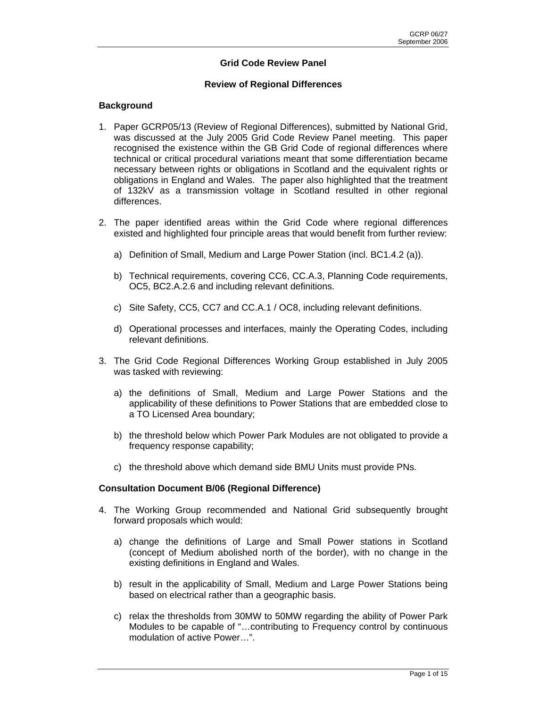# **Grid Code Review Panel**

### **Review of Regional Differences**

### **Background**

- 1. Paper GCRP05/13 (Review of Regional Differences), submitted by National Grid, was discussed at the July 2005 Grid Code Review Panel meeting. This paper recognised the existence within the GB Grid Code of regional differences where technical or critical procedural variations meant that some differentiation became necessary between rights or obligations in Scotland and the equivalent rights or obligations in England and Wales. The paper also highlighted that the treatment of 132kV as a transmission voltage in Scotland resulted in other regional differences.
- 2. The paper identified areas within the Grid Code where regional differences existed and highlighted four principle areas that would benefit from further review:
	- a) Definition of Small, Medium and Large Power Station (incl. BC1.4.2 (a)).
	- b) Technical requirements, covering CC6, CC.A.3, Planning Code requirements, OC5, BC2.A.2.6 and including relevant definitions.
	- c) Site Safety, CC5, CC7 and CC.A.1 / OC8, including relevant definitions.
	- d) Operational processes and interfaces, mainly the Operating Codes, including relevant definitions.
- 3. The Grid Code Regional Differences Working Group established in July 2005 was tasked with reviewing:
	- a) the definitions of Small, Medium and Large Power Stations and the applicability of these definitions to Power Stations that are embedded close to a TO Licensed Area boundary;
	- b) the threshold below which Power Park Modules are not obligated to provide a frequency response capability;
	- c) the threshold above which demand side BMU Units must provide PNs.

#### **Consultation Document B/06 (Regional Difference)**

- 4. The Working Group recommended and National Grid subsequently brought forward proposals which would:
	- a) change the definitions of Large and Small Power stations in Scotland (concept of Medium abolished north of the border), with no change in the existing definitions in England and Wales.
	- b) result in the applicability of Small, Medium and Large Power Stations being based on electrical rather than a geographic basis.
	- c) relax the thresholds from 30MW to 50MW regarding the ability of Power Park Modules to be capable of "…contributing to Frequency control by continuous modulation of active Power…".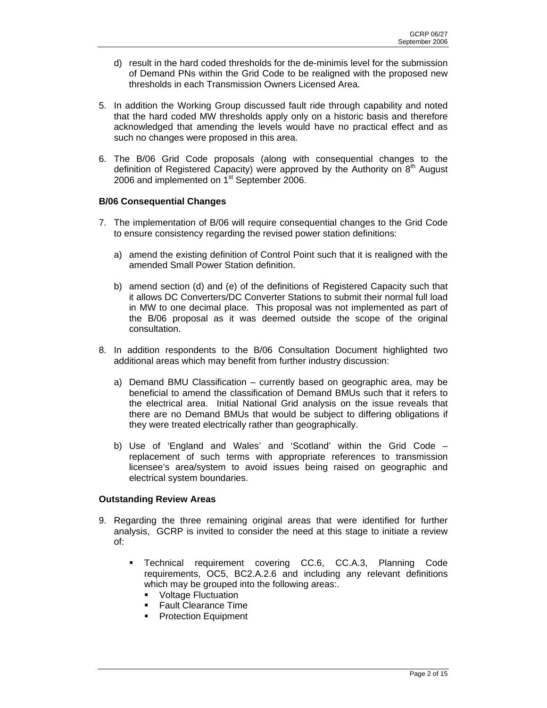- d) result in the hard coded thresholds for the de-minimis level for the submission of Demand PNs within the Grid Code to be realigned with the proposed new thresholds in each Transmission Owners Licensed Area.
- 5. In addition the Working Group discussed fault ride through capability and noted that the hard coded MW thresholds apply only on a historic basis and therefore acknowledged that amending the levels would have no practical effect and as such no changes were proposed in this area.
- 6. The B/06 Grid Code proposals (along with consequential changes to the definition of Registered Capacity) were approved by the Authority on  $8<sup>th</sup>$  August 2006 and implemented on 1<sup>st</sup> September 2006.

## **B/06 Consequential Changes**

- 7. The implementation of B/06 will require consequential changes to the Grid Code to ensure consistency regarding the revised power station definitions:
	- a) amend the existing definition of Control Point such that it is realigned with the amended Small Power Station definition.
	- b) amend section (d) and (e) of the definitions of Registered Capacity such that it allows DC Converters/DC Converter Stations to submit their normal full load in MW to one decimal place. This proposal was not implemented as part of the B/06 proposal as it was deemed outside the scope of the original consultation.
- 8. In addition respondents to the B/06 Consultation Document highlighted two additional areas which may benefit from further industry discussion:
	- a) Demand BMU Classification currently based on geographic area, may be beneficial to amend the classification of Demand BMUs such that it refers to the electrical area. Initial National Grid analysis on the issue reveals that there are no Demand BMUs that would be subject to differing obligations if they were treated electrically rather than geographically.
	- b) Use of 'England and Wales' and 'Scotland' within the Grid Code replacement of such terms with appropriate references to transmission licensee's area/system to avoid issues being raised on geographic and electrical system boundaries.

## **Outstanding Review Areas**

- 9. Regarding the three remaining original areas that were identified for further analysis, GCRP is invited to consider the need at this stage to initiate a review of:
	- Technical requirement covering CC.6, CC.A.3, Planning Code requirements, OC5, BC2.A.2.6 and including any relevant definitions which may be grouped into the following areas:.
		- Voltage Fluctuation
		- **Fault Clearance Time**
		- Protection Equipment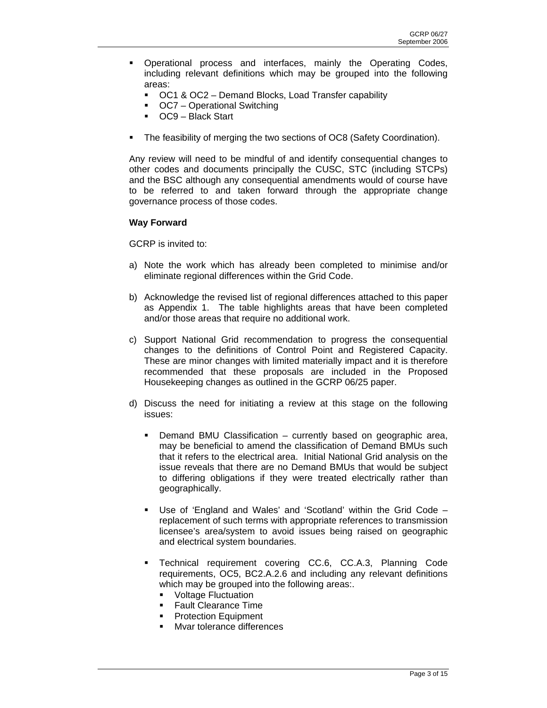- Operational process and interfaces, mainly the Operating Codes, including relevant definitions which may be grouped into the following areas:
	- OC1 & OC2 Demand Blocks, Load Transfer capability
	- OC7 Operational Switching
	- OC9 Black Start
- The feasibility of merging the two sections of OC8 (Safety Coordination).

Any review will need to be mindful of and identify consequential changes to other codes and documents principally the CUSC, STC (including STCPs) and the BSC although any consequential amendments would of course have to be referred to and taken forward through the appropriate change governance process of those codes.

#### **Way Forward**

GCRP is invited to:

- a) Note the work which has already been completed to minimise and/or eliminate regional differences within the Grid Code.
- b) Acknowledge the revised list of regional differences attached to this paper as Appendix 1. The table highlights areas that have been completed and/or those areas that require no additional work.
- c) Support National Grid recommendation to progress the consequential changes to the definitions of Control Point and Registered Capacity. These are minor changes with limited materially impact and it is therefore recommended that these proposals are included in the Proposed Housekeeping changes as outlined in the GCRP 06/25 paper.
- d) Discuss the need for initiating a review at this stage on the following issues:
	- Demand BMU Classification currently based on geographic area, may be beneficial to amend the classification of Demand BMUs such that it refers to the electrical area. Initial National Grid analysis on the issue reveals that there are no Demand BMUs that would be subject to differing obligations if they were treated electrically rather than geographically.
	- Use of 'England and Wales' and 'Scotland' within the Grid Code replacement of such terms with appropriate references to transmission licensee's area/system to avoid issues being raised on geographic and electrical system boundaries.
	- Technical requirement covering CC.6, CC.A.3, Planning Code requirements, OC5, BC2.A.2.6 and including any relevant definitions which may be grouped into the following areas:.
		- **Voltage Fluctuation**
		- **Fault Clearance Time**
		- Protection Equipment
		- Mvar tolerance differences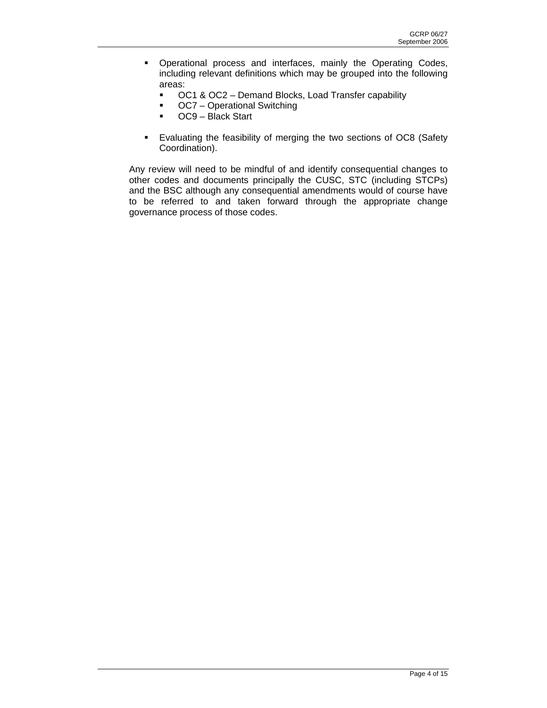- **•** Operational process and interfaces, mainly the Operating Codes, including relevant definitions which may be grouped into the following areas:
	- OC1 & OC2 Demand Blocks, Load Transfer capability
	- OC7 Operational Switching
	- **COM** Black Start
- Evaluating the feasibility of merging the two sections of OC8 (Safety Coordination).

Any review will need to be mindful of and identify consequential changes to other codes and documents principally the CUSC, STC (including STCPs) and the BSC although any consequential amendments would of course have to be referred to and taken forward through the appropriate change governance process of those codes.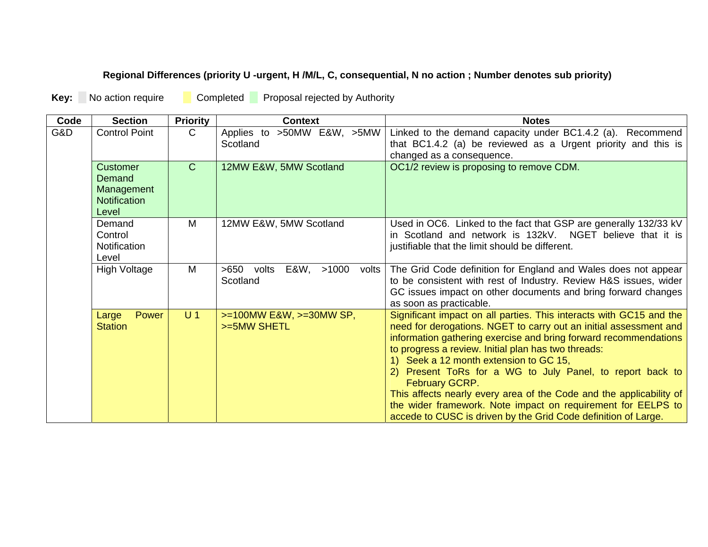# **Regional Differences (priority U -urgent, H /M/L, C, consequential, N no action ; Number denotes sub priority)**

**Key:** No action require Completed Proposal rejected by Authority

| Code | <b>Section</b>                                                   | <b>Priority</b> | <b>Context</b>                                        | <b>Notes</b>                                                                                                                                                                                                                                                                                                                                                                                                                                                                                                                                                                                             |
|------|------------------------------------------------------------------|-----------------|-------------------------------------------------------|----------------------------------------------------------------------------------------------------------------------------------------------------------------------------------------------------------------------------------------------------------------------------------------------------------------------------------------------------------------------------------------------------------------------------------------------------------------------------------------------------------------------------------------------------------------------------------------------------------|
| G&D. | <b>Control Point</b>                                             | $\mathsf{C}$    | Applies to >50MW E&W, >5MW<br>Scotland                | Linked to the demand capacity under BC1.4.2 (a). Recommend<br>that BC1.4.2 (a) be reviewed as a Urgent priority and this is<br>changed as a consequence.                                                                                                                                                                                                                                                                                                                                                                                                                                                 |
|      | Customer<br>Demand<br>Management<br><b>Notification</b><br>Level | $\mathsf{C}$    | 12MW E&W, 5MW Scotland                                | OC1/2 review is proposing to remove CDM.                                                                                                                                                                                                                                                                                                                                                                                                                                                                                                                                                                 |
|      | Demand<br>Control<br>Notification<br>Level                       | M               | 12MW E&W, 5MW Scotland                                | Used in OC6. Linked to the fact that GSP are generally 132/33 kV<br>in Scotland and network is 132kV. NGET believe that it is<br>justifiable that the limit should be different.                                                                                                                                                                                                                                                                                                                                                                                                                         |
|      | <b>High Voltage</b>                                              | M               | $>650$<br>E&W,<br>>1000<br>volts<br>volts<br>Scotland | The Grid Code definition for England and Wales does not appear<br>to be consistent with rest of Industry. Review H&S issues, wider<br>GC issues impact on other documents and bring forward changes<br>as soon as practicable.                                                                                                                                                                                                                                                                                                                                                                           |
|      | Power<br>Large<br><b>Station</b>                                 | U <sub>1</sub>  | $>=100MW$ E&W, $>=30MW$ SP,<br>>=5MW SHETL            | Significant impact on all parties. This interacts with GC15 and the<br>need for derogations. NGET to carry out an initial assessment and<br>information gathering exercise and bring forward recommendations<br>to progress a review. Initial plan has two threads:<br>1) Seek a 12 month extension to GC 15,<br>Present ToRs for a WG to July Panel, to report back to<br>2)<br>February GCRP.<br>This affects nearly every area of the Code and the applicability of<br>the wider framework. Note impact on requirement for EELPS to<br>accede to CUSC is driven by the Grid Code definition of Large. |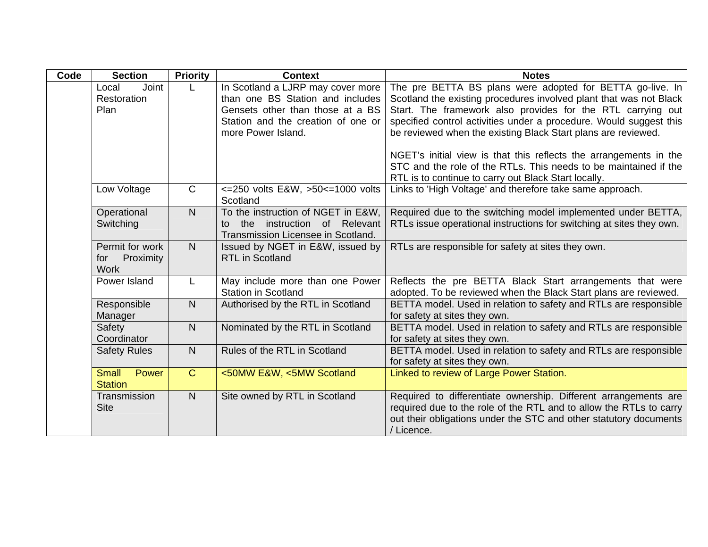| Code | <b>Section</b>                                     | <b>Priority</b> | <b>Context</b>                                                                                                                                                        | <b>Notes</b>                                                                                                                                                                                                                                                                                                                                                                                               |
|------|----------------------------------------------------|-----------------|-----------------------------------------------------------------------------------------------------------------------------------------------------------------------|------------------------------------------------------------------------------------------------------------------------------------------------------------------------------------------------------------------------------------------------------------------------------------------------------------------------------------------------------------------------------------------------------------|
|      | Joint<br>Local<br>Restoration<br>Plan              |                 | In Scotland a LJRP may cover more<br>than one BS Station and includes<br>Gensets other than those at a BS<br>Station and the creation of one or<br>more Power Island. | The pre BETTA BS plans were adopted for BETTA go-live. In<br>Scotland the existing procedures involved plant that was not Black<br>Start. The framework also provides for the RTL carrying out<br>specified control activities under a procedure. Would suggest this<br>be reviewed when the existing Black Start plans are reviewed.<br>NGET's initial view is that this reflects the arrangements in the |
|      |                                                    |                 |                                                                                                                                                                       | STC and the role of the RTLs. This needs to be maintained if the<br>RTL is to continue to carry out Black Start locally.                                                                                                                                                                                                                                                                                   |
|      | Low Voltage                                        | $\mathsf{C}$    | <= 250 volts E&W, >50 <= 1000 volts<br>Scotland                                                                                                                       | Links to 'High Voltage' and therefore take same approach.                                                                                                                                                                                                                                                                                                                                                  |
|      | Operational<br>Switching                           | N               | To the instruction of NGET in E&W,<br>the instruction of Relevant<br>to<br>Transmission Licensee in Scotland.                                                         | Required due to the switching model implemented under BETTA,<br>RTLs issue operational instructions for switching at sites they own.                                                                                                                                                                                                                                                                       |
|      | Permit for work<br>Proximity<br>for<br><b>Work</b> | N               | Issued by NGET in E&W, issued by<br><b>RTL</b> in Scotland                                                                                                            | RTLs are responsible for safety at sites they own.                                                                                                                                                                                                                                                                                                                                                         |
|      | Power Island                                       |                 | May include more than one Power<br><b>Station in Scotland</b>                                                                                                         | Reflects the pre BETTA Black Start arrangements that were<br>adopted. To be reviewed when the Black Start plans are reviewed.                                                                                                                                                                                                                                                                              |
|      | Responsible<br>Manager                             | N               | Authorised by the RTL in Scotland                                                                                                                                     | BETTA model. Used in relation to safety and RTLs are responsible<br>for safety at sites they own.                                                                                                                                                                                                                                                                                                          |
|      | Safety<br>Coordinator                              | $\mathsf{N}$    | Nominated by the RTL in Scotland                                                                                                                                      | BETTA model. Used in relation to safety and RTLs are responsible<br>for safety at sites they own.                                                                                                                                                                                                                                                                                                          |
|      | <b>Safety Rules</b>                                | N               | Rules of the RTL in Scotland                                                                                                                                          | BETTA model. Used in relation to safety and RTLs are responsible<br>for safety at sites they own.                                                                                                                                                                                                                                                                                                          |
|      | Power<br><b>Small</b><br><b>Station</b>            | $\mathsf{C}$    | <50MW E&W, <5MW Scotland                                                                                                                                              | Linked to review of Large Power Station.                                                                                                                                                                                                                                                                                                                                                                   |
|      | Transmission<br><b>Site</b>                        | $\overline{N}$  | Site owned by RTL in Scotland                                                                                                                                         | Required to differentiate ownership. Different arrangements are<br>required due to the role of the RTL and to allow the RTLs to carry<br>out their obligations under the STC and other statutory documents<br>/ Licence.                                                                                                                                                                                   |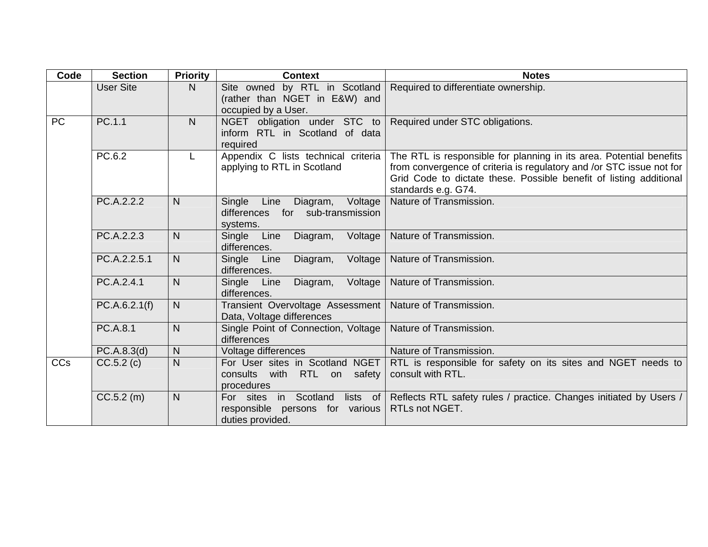| Code      | <b>Section</b>   | <b>Priority</b> | <b>Context</b>                                                                                               | <b>Notes</b>                                                                                                                                                                                                                             |
|-----------|------------------|-----------------|--------------------------------------------------------------------------------------------------------------|------------------------------------------------------------------------------------------------------------------------------------------------------------------------------------------------------------------------------------------|
|           | <b>User Site</b> | N.              | Site owned by RTL in Scotland<br>(rather than NGET in E&W) and<br>occupied by a User.                        | Required to differentiate ownership.                                                                                                                                                                                                     |
| <b>PC</b> | PC.1.1           | N               | NGET obligation under STC to   Required under STC obligations.<br>inform RTL in Scotland of data<br>required |                                                                                                                                                                                                                                          |
|           | PC.6.2           | L               | Appendix C lists technical criteria<br>applying to RTL in Scotland                                           | The RTL is responsible for planning in its area. Potential benefits<br>from convergence of criteria is regulatory and /or STC issue not for<br>Grid Code to dictate these. Possible benefit of listing additional<br>standards e.g. G74. |
|           | PC.A.2.2.2       | N               | Single<br>Line<br>Diagram,<br>Voltage<br>for sub-transmission<br>differences<br>systems.                     | Nature of Transmission.                                                                                                                                                                                                                  |
|           | PC.A.2.2.3       | $\mathsf{N}$    | Line<br>Single<br>Diagram,<br>Voltage<br>differences.                                                        | Nature of Transmission.                                                                                                                                                                                                                  |
|           | PC.A.2.2.5.1     | N               | Single<br>Voltage<br>Line<br>Diagram,<br>differences.                                                        | Nature of Transmission.                                                                                                                                                                                                                  |
|           | PC.A.2.4.1       | $\overline{N}$  | Single Line<br>Diagram,<br>Voltage<br>differences.                                                           | Nature of Transmission.                                                                                                                                                                                                                  |
|           | PC.A.6.2.1(f)    | N.              | Transient Overvoltage Assessment<br>Data, Voltage differences                                                | Nature of Transmission.                                                                                                                                                                                                                  |
|           | PC.A.8.1         | N               | Single Point of Connection, Voltage<br>differences                                                           | Nature of Transmission.                                                                                                                                                                                                                  |
|           | PC.A.8.3(d)      | N               | Voltage differences                                                                                          | Nature of Transmission.                                                                                                                                                                                                                  |
| CCs       | CC.5.2(c)        | $\mathsf{N}$    | For User sites in Scotland NGET<br>consults with RTL on<br>safety<br>procedures                              | RTL is responsible for safety on its sites and NGET needs to<br>consult with RTL.                                                                                                                                                        |
|           | $CC.5.2$ (m)     | $\mathsf{N}$    | For sites in Scotland<br>lists of<br>responsible persons for various<br>duties provided.                     | Reflects RTL safety rules / practice. Changes initiated by Users /<br>RTLs not NGET.                                                                                                                                                     |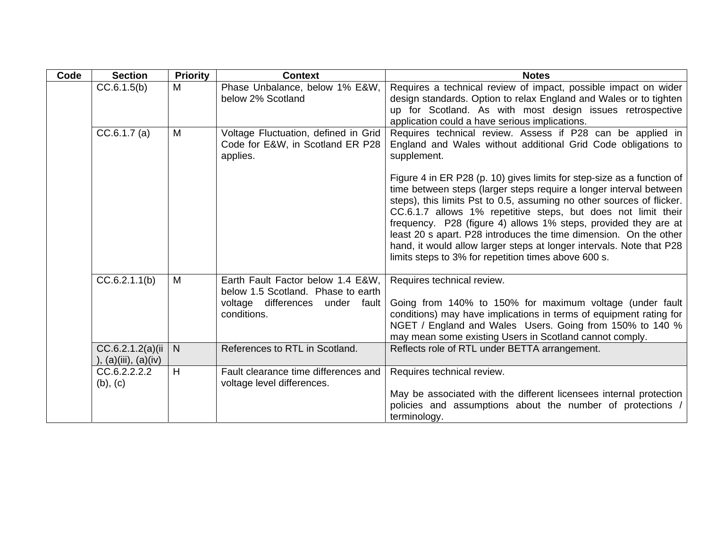| Code | <b>Section</b>                                 | <b>Priority</b> | <b>Context</b>                                                                                                            | <b>Notes</b>                                                                                                                                                                                                                                                                                                                                                                                                                                                                                                                                                   |
|------|------------------------------------------------|-----------------|---------------------------------------------------------------------------------------------------------------------------|----------------------------------------------------------------------------------------------------------------------------------------------------------------------------------------------------------------------------------------------------------------------------------------------------------------------------------------------------------------------------------------------------------------------------------------------------------------------------------------------------------------------------------------------------------------|
|      | CC.6.1.5(b)                                    | M               | Phase Unbalance, below 1% E&W,<br>below 2% Scotland                                                                       | Requires a technical review of impact, possible impact on wider<br>design standards. Option to relax England and Wales or to tighten<br>up for Scotland. As with most design issues retrospective<br>application could a have serious implications.                                                                                                                                                                                                                                                                                                            |
|      | CC.6.1.7(a)                                    | M               | Voltage Fluctuation, defined in Grid<br>Code for E&W, in Scotland ER P28<br>applies.                                      | Requires technical review. Assess if P28 can be applied in<br>England and Wales without additional Grid Code obligations to<br>supplement.                                                                                                                                                                                                                                                                                                                                                                                                                     |
|      |                                                |                 |                                                                                                                           | Figure 4 in ER P28 (p. 10) gives limits for step-size as a function of<br>time between steps (larger steps require a longer interval between<br>steps), this limits Pst to 0.5, assuming no other sources of flicker.<br>CC.6.1.7 allows 1% repetitive steps, but does not limit their<br>frequency. P28 (figure 4) allows 1% steps, provided they are at<br>least 20 s apart. P28 introduces the time dimension. On the other<br>hand, it would allow larger steps at longer intervals. Note that P28<br>limits steps to 3% for repetition times above 600 s. |
|      | CC.6.2.1.1(b)                                  | M               | Earth Fault Factor below 1.4 E&W,<br>below 1.5 Scotland. Phase to earth<br>voltage differences under fault<br>conditions. | Requires technical review.<br>Going from 140% to 150% for maximum voltage (under fault<br>conditions) may have implications in terms of equipment rating for<br>NGET / England and Wales Users. Going from 150% to 140 %<br>may mean some existing Users in Scotland cannot comply.                                                                                                                                                                                                                                                                            |
|      | CC.6.2.1.2(a)(ii)<br>), $(a)(iii)$ , $(a)(iv)$ | N               | References to RTL in Scotland.                                                                                            | Reflects role of RTL under BETTA arrangement.                                                                                                                                                                                                                                                                                                                                                                                                                                                                                                                  |
|      | CC.6.2.2.2.2<br>$(b)$ , $(c)$                  | H               | Fault clearance time differences and<br>voltage level differences.                                                        | Requires technical review.<br>May be associated with the different licensees internal protection<br>policies and assumptions about the number of protections /<br>terminology.                                                                                                                                                                                                                                                                                                                                                                                 |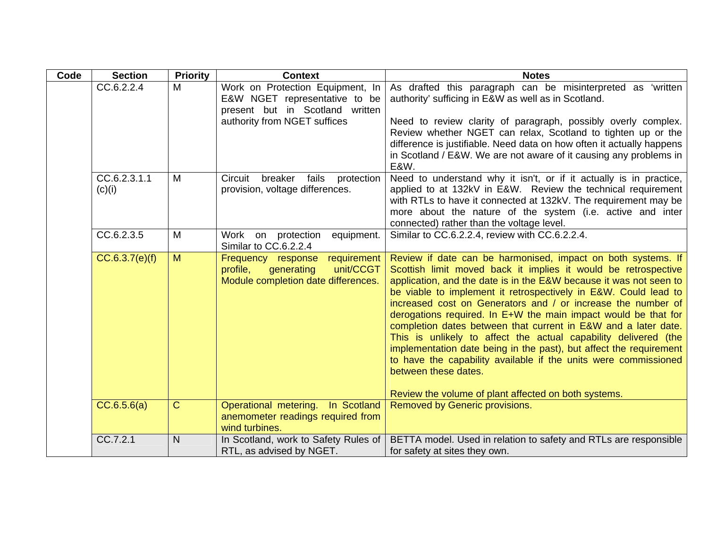| Code | <b>Section</b>         | <b>Priority</b> | <b>Context</b>                                                                                                                       | <b>Notes</b>                                                                                                                                                                                                                                                                                                                                                                                                                                                                                                                                                                                                                                                                                                                                                            |
|------|------------------------|-----------------|--------------------------------------------------------------------------------------------------------------------------------------|-------------------------------------------------------------------------------------------------------------------------------------------------------------------------------------------------------------------------------------------------------------------------------------------------------------------------------------------------------------------------------------------------------------------------------------------------------------------------------------------------------------------------------------------------------------------------------------------------------------------------------------------------------------------------------------------------------------------------------------------------------------------------|
|      | CC.6.2.2.4             | M               | Work on Protection Equipment, In<br>E&W NGET representative to be<br>present but in Scotland written<br>authority from NGET suffices | As drafted this paragraph can be misinterpreted as 'written<br>authority' sufficing in E&W as well as in Scotland.<br>Need to review clarity of paragraph, possibly overly complex.<br>Review whether NGET can relax, Scotland to tighten up or the<br>difference is justifiable. Need data on how often it actually happens<br>in Scotland / E&W. We are not aware of it causing any problems in<br><b>E&amp;W.</b>                                                                                                                                                                                                                                                                                                                                                    |
|      | CC.6.2.3.1.1<br>(c)(i) | M               | breaker<br>fails<br>Circuit<br>protection<br>provision, voltage differences.                                                         | Need to understand why it isn't, or if it actually is in practice,<br>applied to at 132kV in E&W. Review the technical requirement<br>with RTLs to have it connected at 132kV. The requirement may be<br>more about the nature of the system (i.e. active and inter<br>connected) rather than the voltage level.                                                                                                                                                                                                                                                                                                                                                                                                                                                        |
|      | CC.6.2.3.5             | M               | Work<br>protection<br>on<br>equipment.<br>Similar to CC.6.2.2.4                                                                      | Similar to CC.6.2.2.4, review with CC.6.2.2.4.                                                                                                                                                                                                                                                                                                                                                                                                                                                                                                                                                                                                                                                                                                                          |
|      | CC.6.3.7(e)(f)         | M               | requirement<br>Frequency response<br>unit/CCGT<br>profile,<br>generating<br>Module completion date differences.                      | Review if date can be harmonised, impact on both systems. If<br>Scottish limit moved back it implies it would be retrospective<br>application, and the date is in the E&W because it was not seen to<br>be viable to implement it retrospectively in E&W. Could lead to<br>increased cost on Generators and / or increase the number of<br>derogations required. In E+W the main impact would be that for<br>completion dates between that current in E&W and a later date.<br>This is unlikely to affect the actual capability delivered (the<br>implementation date being in the past), but affect the requirement<br>to have the capability available if the units were commissioned<br>between these dates.<br>Review the volume of plant affected on both systems. |
|      | CC.6.5.6(a)            | $\overline{C}$  | Operational metering. In Scotland<br>anemometer readings required from                                                               | Removed by Generic provisions.                                                                                                                                                                                                                                                                                                                                                                                                                                                                                                                                                                                                                                                                                                                                          |
|      |                        |                 | wind turbines.                                                                                                                       |                                                                                                                                                                                                                                                                                                                                                                                                                                                                                                                                                                                                                                                                                                                                                                         |
|      | CC.7.2.1               | N               | In Scotland, work to Safety Rules of<br>RTL, as advised by NGET.                                                                     | BETTA model. Used in relation to safety and RTLs are responsible<br>for safety at sites they own.                                                                                                                                                                                                                                                                                                                                                                                                                                                                                                                                                                                                                                                                       |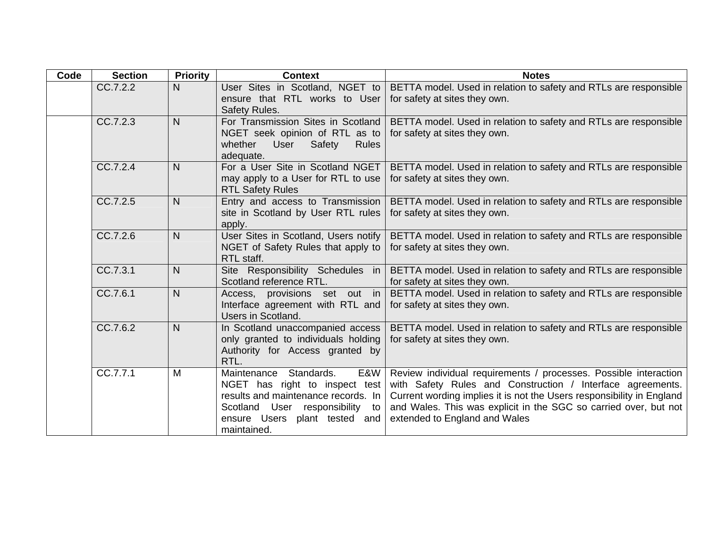| Code | <b>Section</b> | <b>Priority</b> | <b>Context</b>                                                          | <b>Notes</b>                                                                                      |
|------|----------------|-----------------|-------------------------------------------------------------------------|---------------------------------------------------------------------------------------------------|
|      | CC.7.2.2       | N               | User Sites in Scotland, NGET to                                         | BETTA model. Used in relation to safety and RTLs are responsible                                  |
|      |                |                 | ensure that RTL works to User                                           | for safety at sites they own.                                                                     |
|      | CC.7.2.3       | $\overline{N}$  | Safety Rules.<br>For Transmission Sites in Scotland                     |                                                                                                   |
|      |                |                 | NGET seek opinion of RTL as to                                          | BETTA model. Used in relation to safety and RTLs are responsible<br>for safety at sites they own. |
|      |                |                 | whether<br>Safety<br>User<br><b>Rules</b>                               |                                                                                                   |
|      |                |                 | adequate.                                                               |                                                                                                   |
|      | CC.7.2.4       | $\overline{N}$  | For a User Site in Scotland NGET                                        | BETTA model. Used in relation to safety and RTLs are responsible                                  |
|      |                |                 | may apply to a User for RTL to use                                      | for safety at sites they own.                                                                     |
|      |                |                 | <b>RTL Safety Rules</b>                                                 |                                                                                                   |
|      | CC.7.2.5       | $\overline{N}$  | Entry and access to Transmission                                        | BETTA model. Used in relation to safety and RTLs are responsible                                  |
|      |                |                 | site in Scotland by User RTL rules                                      | for safety at sites they own.                                                                     |
|      | CC.7.2.6       | $\mathsf{N}$    | apply.<br>User Sites in Scotland, Users notify                          | BETTA model. Used in relation to safety and RTLs are responsible                                  |
|      |                |                 | NGET of Safety Rules that apply to                                      | for safety at sites they own.                                                                     |
|      |                |                 | RTL staff.                                                              |                                                                                                   |
|      | CC.7.3.1       | N               | Site Responsibility Schedules in                                        | BETTA model. Used in relation to safety and RTLs are responsible                                  |
|      |                |                 | Scotland reference RTL.                                                 | for safety at sites they own.                                                                     |
|      | CC.7.6.1       | $\overline{N}$  | Access, provisions set out in                                           | BETTA model. Used in relation to safety and RTLs are responsible                                  |
|      |                |                 | Interface agreement with RTL and                                        | for safety at sites they own.                                                                     |
|      |                |                 | Users in Scotland.                                                      |                                                                                                   |
|      | CC.7.6.2       | $\overline{N}$  | In Scotland unaccompanied access<br>only granted to individuals holding | BETTA model. Used in relation to safety and RTLs are responsible<br>for safety at sites they own. |
|      |                |                 | Authority for Access granted by                                         |                                                                                                   |
|      |                |                 | RTL.                                                                    |                                                                                                   |
|      | CC.7.7.1       | M               | E&W<br>Standards.<br>Maintenance                                        | Review individual requirements / processes. Possible interaction                                  |
|      |                |                 | NGET has right to inspect test                                          | with Safety Rules and Construction / Interface agreements.                                        |
|      |                |                 | results and maintenance records. In                                     | Current wording implies it is not the Users responsibility in England                             |
|      |                |                 | Scotland User responsibility to                                         | and Wales. This was explicit in the SGC so carried over, but not                                  |
|      |                |                 | ensure Users plant tested and                                           | extended to England and Wales                                                                     |
|      |                |                 | maintained.                                                             |                                                                                                   |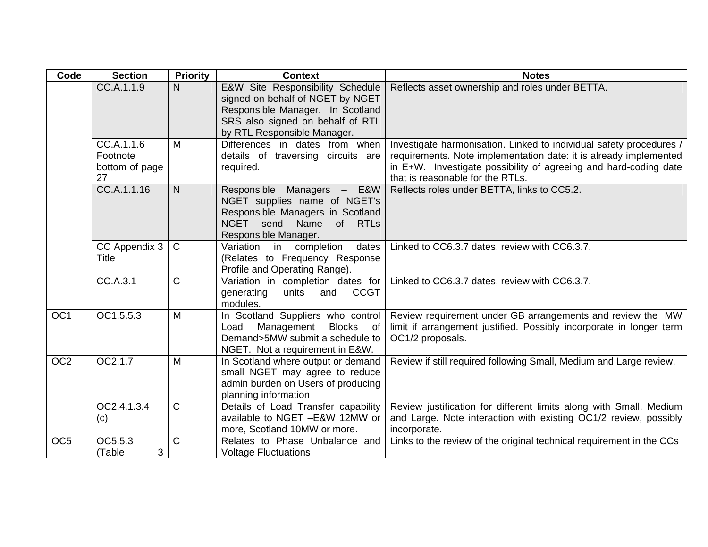| Code            | <b>Section</b>                                 | <b>Priority</b> | <b>Context</b>                                                                                                                                                              | <b>Notes</b>                                                                                                                                                                                                                                     |
|-----------------|------------------------------------------------|-----------------|-----------------------------------------------------------------------------------------------------------------------------------------------------------------------------|--------------------------------------------------------------------------------------------------------------------------------------------------------------------------------------------------------------------------------------------------|
|                 | CC.A.1.1.9                                     | N               | E&W Site Responsibility Schedule<br>signed on behalf of NGET by NGET<br>Responsible Manager. In Scotland<br>SRS also signed on behalf of RTL<br>by RTL Responsible Manager. | Reflects asset ownership and roles under BETTA.                                                                                                                                                                                                  |
|                 | CC.A.1.1.6<br>Footnote<br>bottom of page<br>27 | M               | Differences in dates from when<br>details of traversing circuits are<br>required.                                                                                           | Investigate harmonisation. Linked to individual safety procedures /<br>requirements. Note implementation date: it is already implemented<br>in E+W. Investigate possibility of agreeing and hard-coding date<br>that is reasonable for the RTLs. |
|                 | CC.A.1.1.16                                    | N               | Responsible Managers - E&W<br>NGET supplies name of NGET's<br>Responsible Managers in Scotland<br>NGET send Name<br>of RTLs<br>Responsible Manager.                         | Reflects roles under BETTA, links to CC5.2.                                                                                                                                                                                                      |
|                 | CC Appendix 3<br>Title                         | $\mathsf{C}$    | Variation<br>completion<br>dates<br>in<br>(Relates to Frequency Response<br>Profile and Operating Range).                                                                   | Linked to CC6.3.7 dates, review with CC6.3.7.                                                                                                                                                                                                    |
|                 | CC.A.3.1                                       | $\mathsf{C}$    | Variation in completion dates for<br><b>CCGT</b><br>generating<br>units<br>and<br>modules.                                                                                  | Linked to CC6.3.7 dates, review with CC6.3.7.                                                                                                                                                                                                    |
| OC <sub>1</sub> | OC1.5.5.3                                      | M               | In Scotland Suppliers who control<br>Management<br>Blocks of<br>Load<br>Demand>5MW submit a schedule to<br>NGET. Not a requirement in E&W.                                  | Review requirement under GB arrangements and review the MW<br>limit if arrangement justified. Possibly incorporate in longer term<br>OC1/2 proposals.                                                                                            |
| OC <sub>2</sub> | OC2.1.7                                        | M               | In Scotland where output or demand<br>small NGET may agree to reduce<br>admin burden on Users of producing<br>planning information                                          | Review if still required following Small, Medium and Large review.                                                                                                                                                                               |
|                 | OC2.4.1.3.4<br>(c)                             | $\mathsf{C}$    | Details of Load Transfer capability<br>available to NGET -E&W 12MW or<br>more, Scotland 10MW or more.                                                                       | Review justification for different limits along with Small, Medium<br>and Large. Note interaction with existing OC1/2 review, possibly<br>incorporate.                                                                                           |
| OC <sub>5</sub> | OC5.5.3<br>3<br>(Table                         | $\mathsf C$     | Relates to Phase Unbalance and<br><b>Voltage Fluctuations</b>                                                                                                               | Links to the review of the original technical requirement in the CCs                                                                                                                                                                             |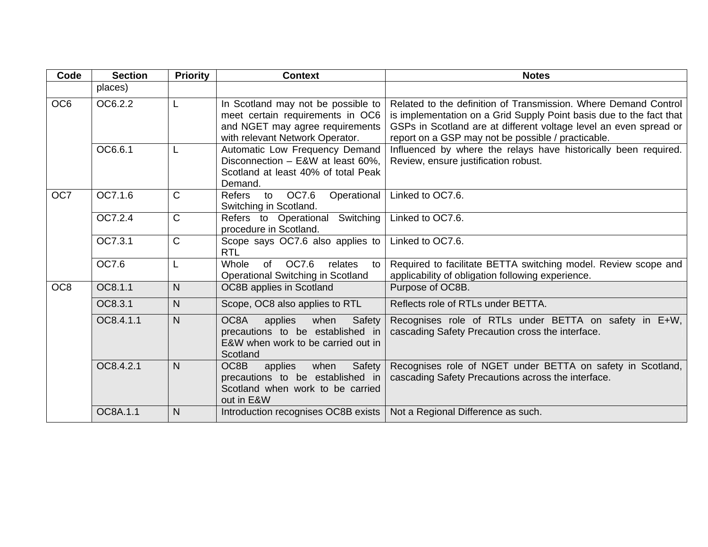| Code            | <b>Section</b> | <b>Priority</b> | <b>Context</b>                                                                                                                               | <b>Notes</b>                                                                                                                                                                                                                                                      |
|-----------------|----------------|-----------------|----------------------------------------------------------------------------------------------------------------------------------------------|-------------------------------------------------------------------------------------------------------------------------------------------------------------------------------------------------------------------------------------------------------------------|
|                 | places)        |                 |                                                                                                                                              |                                                                                                                                                                                                                                                                   |
| OC <sub>6</sub> | OC6.2.2        | L               | In Scotland may not be possible to<br>meet certain requirements in OC6<br>and NGET may agree requirements<br>with relevant Network Operator. | Related to the definition of Transmission. Where Demand Control<br>is implementation on a Grid Supply Point basis due to the fact that<br>GSPs in Scotland are at different voltage level an even spread or<br>report on a GSP may not be possible / practicable. |
|                 | OC6.6.1        | L               | Automatic Low Frequency Demand<br>Disconnection - E&W at least 60%,<br>Scotland at least 40% of total Peak<br>Demand.                        | Influenced by where the relays have historically been required.<br>Review, ensure justification robust.                                                                                                                                                           |
| OC7             | OC7.1.6        | $\mathsf{C}$    | OC7.6<br>Operational<br><b>Refers</b><br>to<br>Switching in Scotland.                                                                        | Linked to OC7.6.                                                                                                                                                                                                                                                  |
|                 | OC7.2.4        | $\mathsf C$     | Switching<br>Refers to Operational<br>procedure in Scotland.                                                                                 | Linked to OC7.6.                                                                                                                                                                                                                                                  |
|                 | OC7.3.1        | C               | Scope says OC7.6 also applies to<br><b>RTL</b>                                                                                               | Linked to OC7.6.                                                                                                                                                                                                                                                  |
|                 | OC7.6          | L               | Whole<br>of OC7.6<br>relates<br>to<br><b>Operational Switching in Scotland</b>                                                               | Required to facilitate BETTA switching model. Review scope and<br>applicability of obligation following experience.                                                                                                                                               |
| OC <sub>8</sub> | OC8.1.1        | N               | OC8B applies in Scotland                                                                                                                     | Purpose of OC8B.                                                                                                                                                                                                                                                  |
|                 | OC8.3.1        | N               | Scope, OC8 also applies to RTL                                                                                                               | Reflects role of RTLs under BETTA.                                                                                                                                                                                                                                |
|                 | OC8.4.1.1      | N.              | OC8A<br>applies<br>when<br>Safety<br>precautions to be established in<br>E&W when work to be carried out in<br>Scotland                      | Recognises role of RTLs under BETTA on safety in E+W,<br>cascading Safety Precaution cross the interface.                                                                                                                                                         |
|                 | OC8.4.2.1      | N               | OC8B<br>applies<br>Safety<br>when<br>precautions to be established in<br>Scotland when work to be carried<br>out in E&W                      | Recognises role of NGET under BETTA on safety in Scotland,<br>cascading Safety Precautions across the interface.                                                                                                                                                  |
|                 | OC8A.1.1       | N               | Introduction recognises OC8B exists                                                                                                          | Not a Regional Difference as such.                                                                                                                                                                                                                                |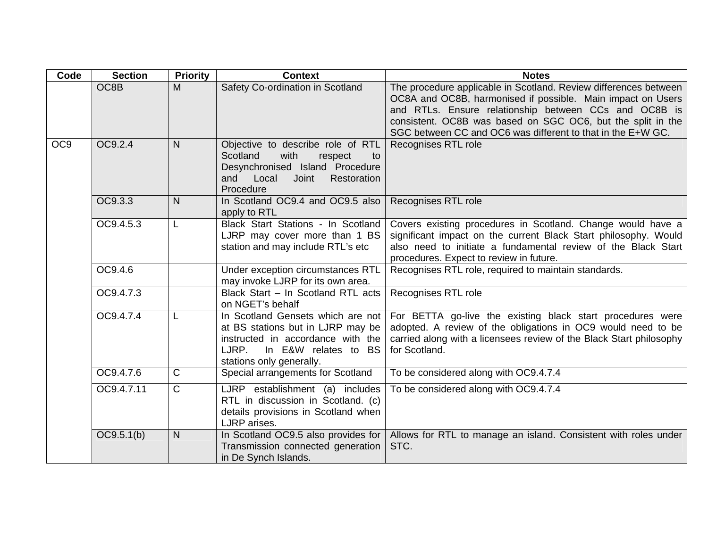| Code            | <b>Section</b> | <b>Priority</b> | <b>Context</b>                                                                                                                                                           | <b>Notes</b>                                                                                                                                                                                                                                                                                                           |
|-----------------|----------------|-----------------|--------------------------------------------------------------------------------------------------------------------------------------------------------------------------|------------------------------------------------------------------------------------------------------------------------------------------------------------------------------------------------------------------------------------------------------------------------------------------------------------------------|
|                 | OC8B           | M               | Safety Co-ordination in Scotland                                                                                                                                         | The procedure applicable in Scotland. Review differences between<br>OC8A and OC8B, harmonised if possible. Main impact on Users<br>and RTLs. Ensure relationship between CCs and OC8B is<br>consistent. OC8B was based on SGC OC6, but the split in the<br>SGC between CC and OC6 was different to that in the E+W GC. |
| OC <sub>9</sub> | OC9.2.4        | N               | Objective to describe role of RTL<br>Scotland<br>with<br>respect<br>to<br>Desynchronised Island Procedure<br>and Local<br>Restoration<br>Joint<br>Procedure              | Recognises RTL role                                                                                                                                                                                                                                                                                                    |
|                 | OC9.3.3        | N <sub>1</sub>  | In Scotland OC9.4 and OC9.5 also<br>apply to RTL                                                                                                                         | Recognises RTL role                                                                                                                                                                                                                                                                                                    |
|                 | OC9.4.5.3      | L               | Black Start Stations - In Scotland<br>LJRP may cover more than 1 BS<br>station and may include RTL's etc                                                                 | Covers existing procedures in Scotland. Change would have a<br>significant impact on the current Black Start philosophy. Would<br>also need to initiate a fundamental review of the Black Start<br>procedures. Expect to review in future.                                                                             |
|                 | OC9.4.6        |                 | Under exception circumstances RTL<br>may invoke LJRP for its own area.                                                                                                   | Recognises RTL role, required to maintain standards.                                                                                                                                                                                                                                                                   |
|                 | OC9.4.7.3      |                 | Black Start - In Scotland RTL acts<br>on NGET's behalf                                                                                                                   | Recognises RTL role                                                                                                                                                                                                                                                                                                    |
|                 | OC9.4.7.4      |                 | In Scotland Gensets which are not<br>at BS stations but in LJRP may be<br>instructed in accordance with the<br>In E&W relates to BS<br>LJRP.<br>stations only generally. | For BETTA go-live the existing black start procedures were<br>adopted. A review of the obligations in OC9 would need to be<br>carried along with a licensees review of the Black Start philosophy<br>for Scotland.                                                                                                     |
|                 | OC9.4.7.6      | $\mathsf{C}$    | Special arrangements for Scotland                                                                                                                                        | To be considered along with OC9.4.7.4                                                                                                                                                                                                                                                                                  |
|                 | OC9.4.7.11     | $\mathsf{C}$    | LJRP establishment (a) includes<br>RTL in discussion in Scotland. (c)<br>details provisions in Scotland when<br>LJRP arises.                                             | To be considered along with OC9.4.7.4                                                                                                                                                                                                                                                                                  |
|                 | OC9.5.1(b)     | $\mathsf{N}$    | In Scotland OC9.5 also provides for<br>Transmission connected generation<br>in De Synch Islands.                                                                         | Allows for RTL to manage an island. Consistent with roles under<br>STC.                                                                                                                                                                                                                                                |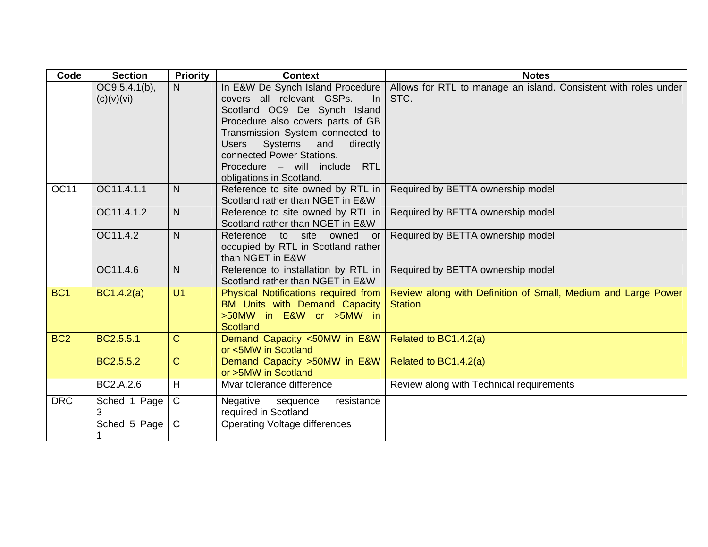| Code            | <b>Section</b>                 | <b>Priority</b> | <b>Context</b>                                                                                                                                                                                                                                                                                                                        | <b>Notes</b>                                                                    |
|-----------------|--------------------------------|-----------------|---------------------------------------------------------------------------------------------------------------------------------------------------------------------------------------------------------------------------------------------------------------------------------------------------------------------------------------|---------------------------------------------------------------------------------|
|                 | $OC9.5.4.1(b)$ ,<br>(c)(v)(vi) | N.              | In E&W De Synch Island Procedure<br>covers all relevant GSPs.<br>In.<br>Scotland OC9 De Synch Island<br>Procedure also covers parts of GB<br>Transmission System connected to<br><b>Systems</b><br><b>Users</b><br>and<br>directly<br>connected Power Stations.<br>Procedure - will include<br><b>RTL</b><br>obligations in Scotland. | Allows for RTL to manage an island. Consistent with roles under<br>STC.         |
| <b>OC11</b>     | OC11.4.1.1                     | N               | Reference to site owned by RTL in<br>Scotland rather than NGET in E&W                                                                                                                                                                                                                                                                 | Required by BETTA ownership model                                               |
|                 | OC11.4.1.2                     | $\mathsf{N}$    | Reference to site owned by RTL in<br>Scotland rather than NGET in E&W                                                                                                                                                                                                                                                                 | Required by BETTA ownership model                                               |
|                 | OC11.4.2                       | $\mathsf{N}$    | Reference to site owned or<br>occupied by RTL in Scotland rather<br>than NGET in E&W                                                                                                                                                                                                                                                  | Required by BETTA ownership model                                               |
|                 | OC11.4.6                       | $\mathsf{N}$    | Reference to installation by RTL in<br>Scotland rather than NGET in E&W                                                                                                                                                                                                                                                               | Required by BETTA ownership model                                               |
| BC <sub>1</sub> | BC1.4.2(a)                     | U <sub>1</sub>  | Physical Notifications required from<br>BM Units with Demand Capacity<br>>50MW in E&W or >5MW in<br><b>Scotland</b>                                                                                                                                                                                                                   | Review along with Definition of Small, Medium and Large Power<br><b>Station</b> |
| BC <sub>2</sub> | BC2.5.5.1                      | $\mathbf C$     | Demand Capacity <50MW in E&W<br>or <5MW in Scotland                                                                                                                                                                                                                                                                                   | Related to BC1.4.2(a)                                                           |
|                 | BC2.5.5.2                      | $\overline{C}$  | Demand Capacity > 50MW in E&W<br>or >5MW in Scotland                                                                                                                                                                                                                                                                                  | Related to BC1.4.2(a)                                                           |
|                 | BC2.A.2.6                      | H               | Mvar tolerance difference                                                                                                                                                                                                                                                                                                             | Review along with Technical requirements                                        |
| <b>DRC</b>      | Sched 1 Page<br>3              | $\mathsf{C}$    | Negative<br>resistance<br>sequence<br>required in Scotland                                                                                                                                                                                                                                                                            |                                                                                 |
|                 | Sched 5 Page                   | $\mathsf{C}$    | <b>Operating Voltage differences</b>                                                                                                                                                                                                                                                                                                  |                                                                                 |